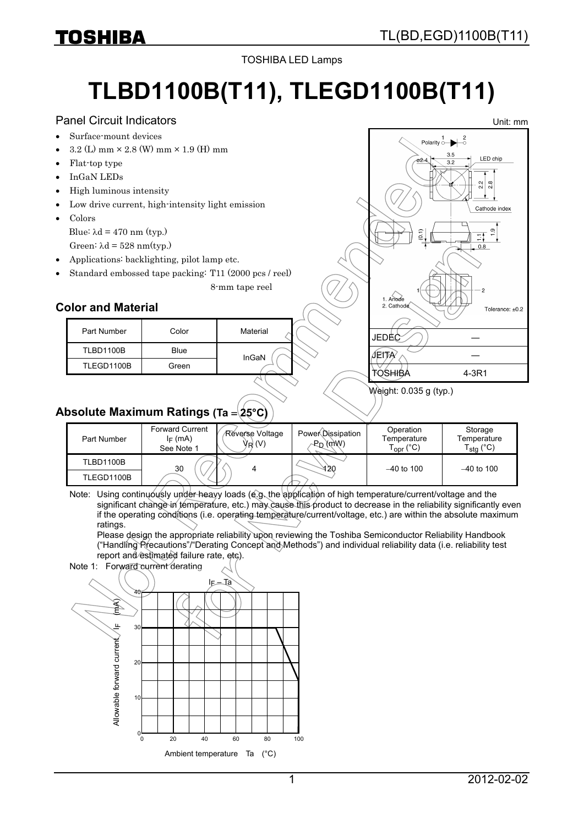Unit: mm

TOSHIBA LED Lamps

# **TLBD1100B(T11), TLEGD1100B(T11)**

### Panel Circuit Indicators

- Surface-mount devices
- $3.2$  (L) mm  $\times$  2.8 (W) mm  $\times$  1.9 (H) mm
- Flat-top type
- InGaN LEDs
- High luminous intensity
- Low drive current, high-intensity light emission
- Colors Blue:  $\lambda$ d = 470 nm (typ.) Green:  $\lambda d = 528$  nm(typ.)
- Applications: backlighting, pilot lamp etc.
- Standard embossed tape packing: T11 (2000 pcs / reel)

8-mm tape reel



## **Color and Material**

| Part Number      | Color | Material |
|------------------|-------|----------|
| <b>TLBD1100B</b> | Blue  | InGaN    |
| TLEGD1100B       | Green |          |

## Weight: 0.035 g (typ.)

# **Absolute Maximum Ratings (Ta** = **25°C)**

| Part Number | <b>Forward Current</b><br>$I_F$ (mA)<br>See Note 1 | Reverse Voltage<br>VR (V) | PowerDissipation<br>$P_D$ ( $m$ $W$ ) | Operation<br>Temperature<br>$\Gamma_{\text{OPT}}$ (°C) | Storage<br>Temperature<br>$\Gamma_{\text{stg}}$ (°C) |
|-------------|----------------------------------------------------|---------------------------|---------------------------------------|--------------------------------------------------------|------------------------------------------------------|
| TLBD1100B   | 30                                                 |                           | 420                                   | $-40$ to 100                                           | $-40$ to 100                                         |
| TLEGD1100B  |                                                    |                           |                                       |                                                        |                                                      |

Note: Using continuously under heavy loads (e.g. the application of high temperature/current/voltage and the significant change in temperature, etc.) may cause this product to decrease in the reliability significantly even if the operating conditions (i.e. operating temperature/current/voltage, etc.) are within the absolute maximum ratings.

Please design the appropriate reliability upon reviewing the Toshiba Semiconductor Reliability Handbook ("Handling Precautions"/"Derating Concept and Methods") and individual reliability data (i.e. reliability test report and estimated failure rate, etc).

Note 1: Forward current derating

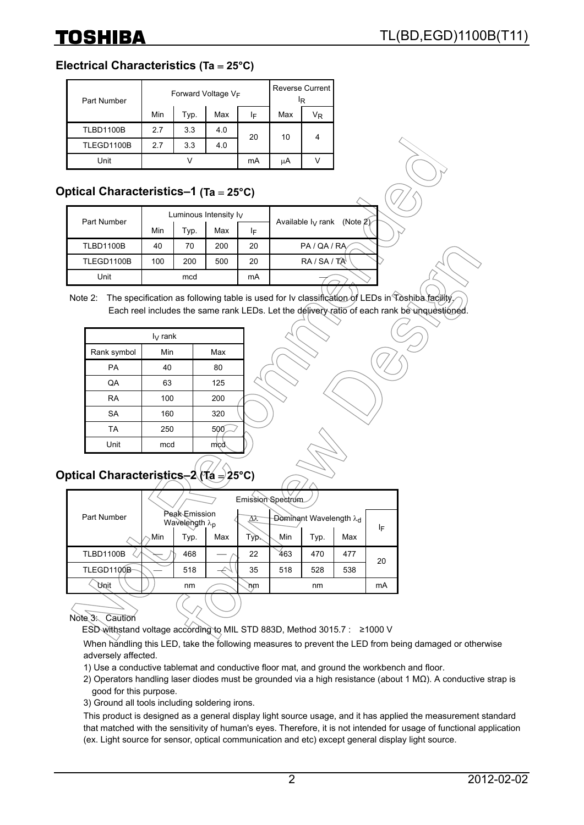# **Electrical Characteristics (Ta** = **25°C)**

| Part Number      |     |      | Forward Voltage VF |    | ΙR  | Reverse Current |
|------------------|-----|------|--------------------|----|-----|-----------------|
|                  | Min | Typ. | Max                | IF | Max | Vĸ              |
| <b>TLBD1100B</b> | 2.7 | 3.3  | 4.0                | 20 | 10  | 4               |
| TLEGD1100B       | 2.7 | 3.3  | 4.0                |    |     |                 |
| Unit             |     |      |                    | mA | μA  |                 |

# **Optical Characteristics–1 (Ta** = **25°C)**

| Part Number      |     |      | Luminous Intensity $I_V$ |    | (Note $2$ )          |
|------------------|-----|------|--------------------------|----|----------------------|
|                  | Min | Typ. | Max                      | IF | Available $I_V$ rank |
| <b>TLBD1100B</b> | 40  | 70   | 200                      | 20 | PA / QA / RA         |
| TLEGD1100B       | 100 | 200  | 500                      | 20 | $RA/SA/TA^4$         |
| Unit             |     | mcd  |                          | mA |                      |

#### Note 2: The specification as following table is used for Iv classification of LEDs in Toshiba facility Each reel includes the same rank LEDs. Let the delivery ratio of each rank be unquestioned

| $I_V$ rank  |     |     |  |  |  |  |
|-------------|-----|-----|--|--|--|--|
| Rank symbol | Min | Max |  |  |  |  |
| PA          | 40  | 80  |  |  |  |  |
| QA          | 63  | 125 |  |  |  |  |
| <b>RA</b>   | 100 | 200 |  |  |  |  |
| <b>SA</b>   | 160 | 320 |  |  |  |  |
| <b>TA</b>   | 250 | 500 |  |  |  |  |
| Unit        | mcd | mcd |  |  |  |  |

# **Optical Characteristics–2 (Ta** = **25°C)**

|                  |     |                                                                                         |     | Emission Spectrum |     |      |     |    |
|------------------|-----|-----------------------------------------------------------------------------------------|-----|-------------------|-----|------|-----|----|
| Part Number      |     | <b>Peak</b> Emission<br><b>Dominant Wavelength λα</b><br>Δλ<br>Wavelength $\lambda_{p}$ |     |                   |     |      | ΙF  |    |
|                  | Min | Tур.                                                                                    | Max | Typ.              | Min | Typ. | Max |    |
| <b>TLBD1100B</b> |     | 468                                                                                     |     | 22                | 463 | 470  | 477 | 20 |
| TLEGD1100B       |     | 518                                                                                     |     | 35                | 518 | 528  | 538 |    |
| <b>Unit</b>      |     | nm                                                                                      |     | 'nm               |     | nm   |     | mA |

## Note 3: Caution

ESD withstand voltage according to MIL STD 883D, Method 3015.7 : ≥1000 V

When handling this LED, take the following measures to prevent the LED from being damaged or otherwise adversely affected.

- 1) Use a conductive tablemat and conductive floor mat, and ground the workbench and floor.
- 2) Operators handling laser diodes must be grounded via a high resistance (about 1 MΩ). A conductive strap is good for this purpose.
- 3) Ground all tools including soldering irons.

This product is designed as a general display light source usage, and it has applied the measurement standard that matched with the sensitivity of human's eyes. Therefore, it is not intended for usage of functional application (ex. Light source for sensor, optical communication and etc) except general display light source.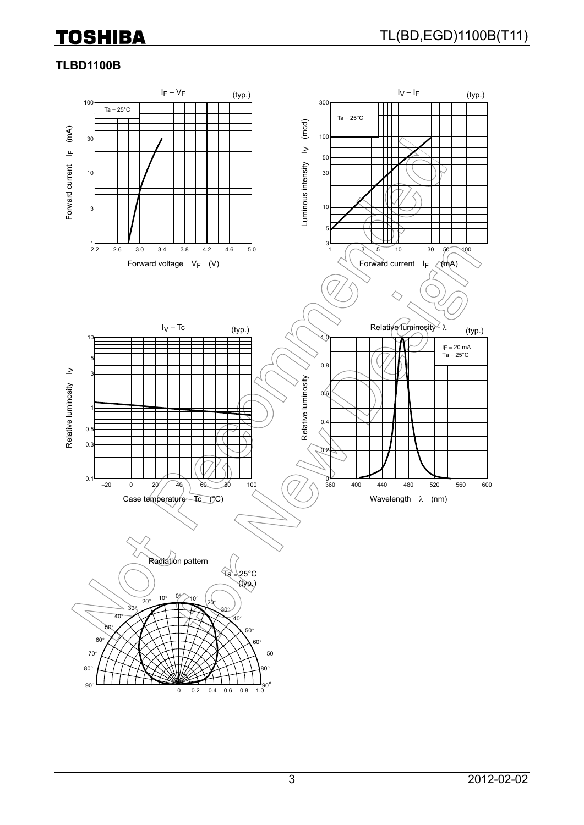# **TLBD1100B**

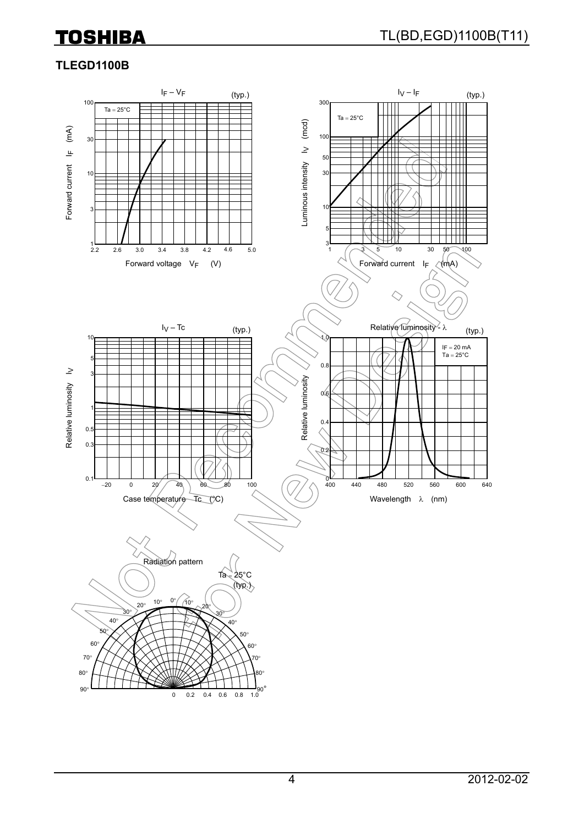# **TLEGD1100B**

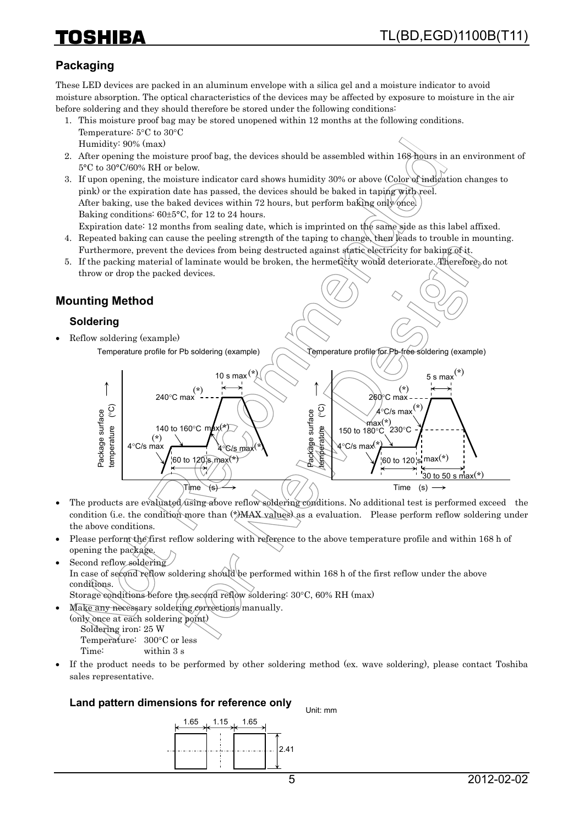# **Packaging**

These LED devices are packed in an aluminum envelope with a silica gel and a moisture indicator to avoid moisture absorption. The optical characteristics of the devices may be affected by exposure to moisture in the air before soldering and they should therefore be stored under the following conditions:

- 1. This moisture proof bag may be stored unopened within 12 months at the following conditions. Temperature: 5°C to 30°C Humidity: 90% (max)
- 2. After opening the moisture proof bag, the devices should be assembled within 168 hours in an environment of 5°C to 30°C/60% RH or below.
- 3. If upon opening, the moisture indicator card shows humidity 30% or above (Color of indication changes to pink) or the expiration date has passed, the devices should be baked in taping with reel. After baking, use the baked devices within 72 hours, but perform baking only once. Baking conditions: 60±5°C, for 12 to 24 hours.

Expiration date: 12 months from sealing date, which is imprinted on the same side as this label affixed. 4. Repeated baking can cause the peeling strength of the taping to change, then leads to trouble in mounting.

- Furthermore, prevent the devices from being destructed against static electricity for baking of it.
- 5. If the packing material of laminate would be broken, the hermeticity would deteriorate. Therefore, do not throw or drop the packed devices.

# **Mounting Method**

### **Soldering**

- Reflow soldering (example)
	- Temperature profile for Pb soldering (example) Temperature profile for Pb-free soldering (example) 5 s max $(*)$ 10 s max $(*)$ (\*) 240°C max (\*) 260°C max temperature (°C) temperature (°C) temperature (°C) (\*) temperature (°C) 4°C/s max Package surface Package surface Package surface Package surface max(\*) 140 to 160°C max(\*) 150 to 180°C  $^{\prime}$ 230°C  $\overbrace{\qquad \qquad }^{(*)}$  a<sup>o</sup>C/s max<sup>(\*)</sup> 4°C/s max 4°C/s max (\*) 60 to 120 s  $\text{max}(\star)$ 60 to 120 s max(\*) 30 to 50 s max $(*)$ Time (s)  $\mathsf{Time} \searrow$ s)
- The products are evaluated using above reflow soldering conditions. No additional test is performed exceed the condition (i.e. the condition more than  $(*)$ MAX values) as a evaluation. Please perform reflow soldering under the above conditions.
- Please perform the first reflow soldering with reference to the above temperature profile and within 168 h of opening the package.
- Second reflow soldering In case of second reflow soldering should be performed within 168 h of the first reflow under the above conditions. Storage conditions before the second reflow soldering: 30°C, 60% RH (max)
- Make any necessary soldering corrections manually. (only once at each soldering point) Soldering iron: 25 W Temperature: 300°C or less

Time: within 3 s

• If the product needs to be performed by other soldering method (ex. wave soldering), please contact Toshiba sales representative.

#### **Land pattern dimensions for reference only**

Unit: mm

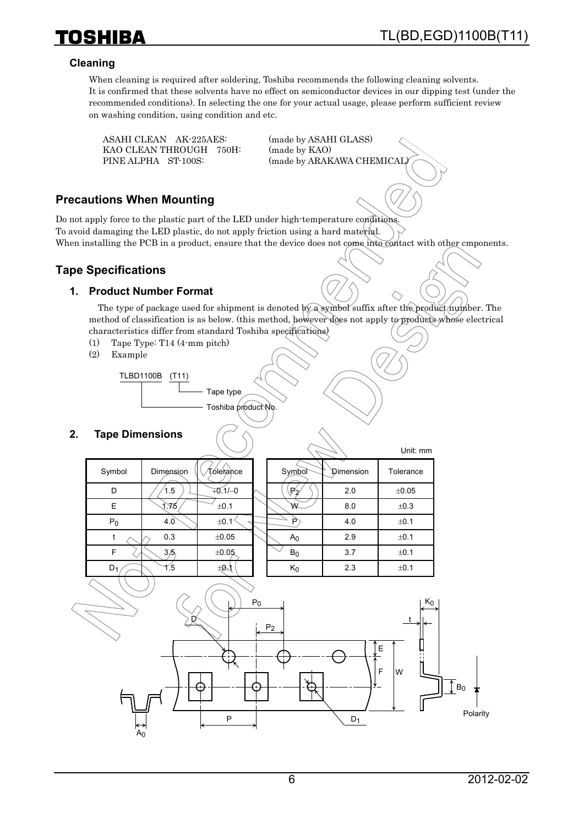

Unit: mm

#### **Cleaning**

**TOSHIBA** 

When cleaning is required after soldering, Toshiba recommends the following cleaning solvents. It is confirmed that these solvents have no effect on semiconductor devices in our dipping test (under the recommended conditions). In selecting the one for your actual usage, please perform sufficient review on washing condition, using condition and etc.

 ASAHI CLEAN AK-225AES: (made by ASAHI GLASS) KAO CLEAN THROUGH 750H: (made by KAO)

PINE ALPHA ST-100S: (made by ARAKAWA CHEMICAL)

#### **Precautions When Mounting**

Do not apply force to the plastic part of the LED under high-temperature conditions. To avoid damaging the LED plastic, do not apply friction using a hard material. When installing the PCB in a product, ensure that the device does not come into contact with other cmponents.

#### **Tape Specifications**

#### **1. Product Number Format**

The type of package used for shipment is denoted by a symbol suffix after the product number. The method of classification is as below. (this method, however does not apply to products whose electrical characteristics differ from standard Toshiba specifications)

- (1) Tape Type: T14 (4-mm pitch)
- (2) Example

TLBD1100B (T11) Tape type

Toshiba product No.

#### **2. Tape Dimensions**

|        |           |              |                |           | <b>UIIII. IIIIII</b> |
|--------|-----------|--------------|----------------|-----------|----------------------|
| Symbol | Dimension | Tólerance    | Symbol         | Dimension | Tolerance            |
| D      | 1.5       | $+0.1/-0$    | $\mathbb{P}_2$ | 2.0       | ±0.05                |
| E      | 1.75      | ±0.1         | ₩              | 8.0       | ±0.3                 |
| $P_0$  | 4.0       | ±0.1         | P              | 4.0       | ±0.1                 |
| t      | 0.3       | ±0.05        | A <sub>0</sub> | 2.9       | ±0.1                 |
| F      | 3.5       | ±0.05        | $B_0$          | 3.7       | ±0.1                 |
| $D_1$  | 1.5       | $±0\sqrt{1}$ | $\mathsf{K}_0$ | 2.3       | ±0.1                 |
|        |           |              |                |           |                      |

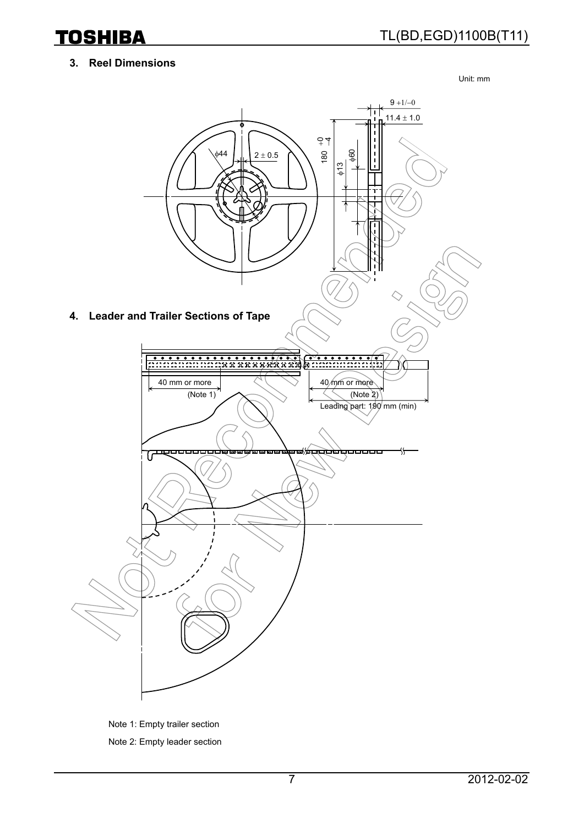### **3. Reel Dimensions**

Unit: mm



Note 1: Empty trailer section Note 2: Empty leader section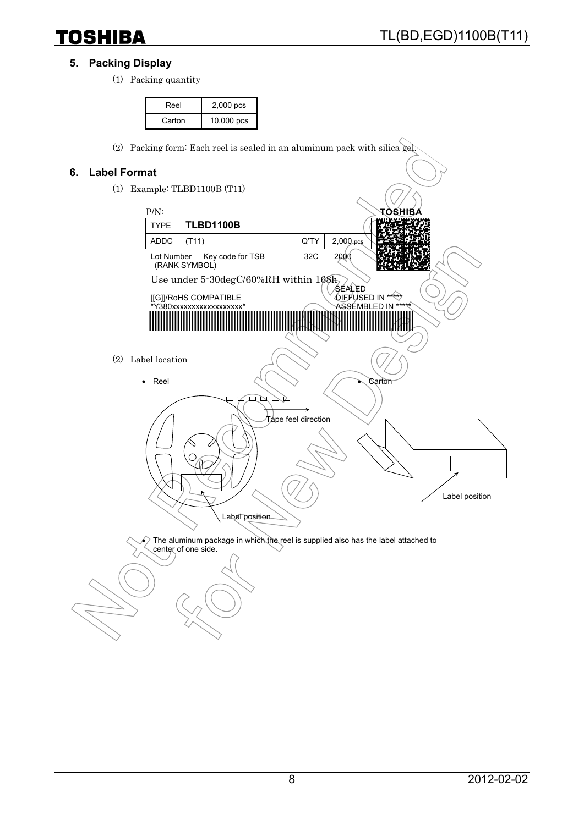### **5. Packing Display**

(1) Packing quantity

| Reel   | 2,000 pcs    |
|--------|--------------|
| Carton | $10,000$ pcs |

(2) Packing form: Each reel is sealed in an aluminum pack with silica gel.

#### **6. Label Format**

(1) Example: TLBD1100B (T11)



 $\epsilon$ ) The aluminum package in which the reel is supplied also has the label attached to center of one side.